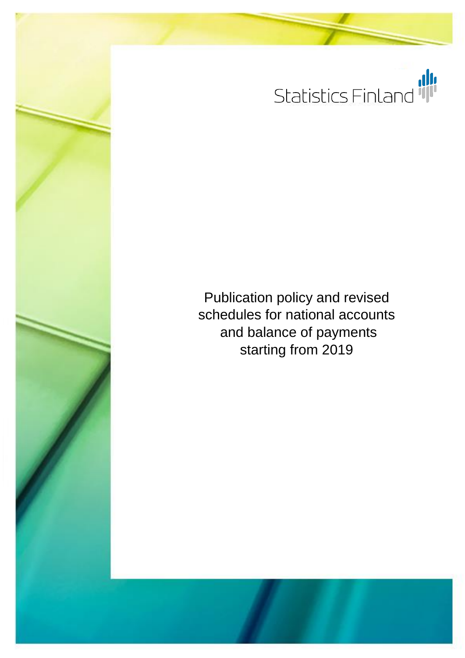

Publication policy and revised schedules for national accounts and balance of payments starting from 2019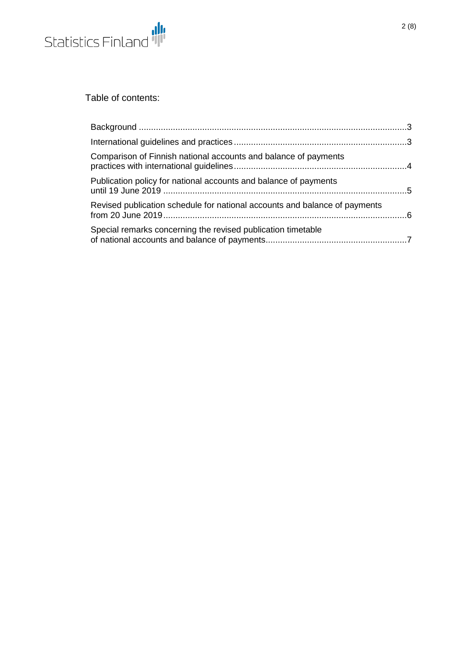

Table of contents:

| Comparison of Finnish national accounts and balance of payments            |  |
|----------------------------------------------------------------------------|--|
| Publication policy for national accounts and balance of payments           |  |
| Revised publication schedule for national accounts and balance of payments |  |
| Special remarks concerning the revised publication timetable               |  |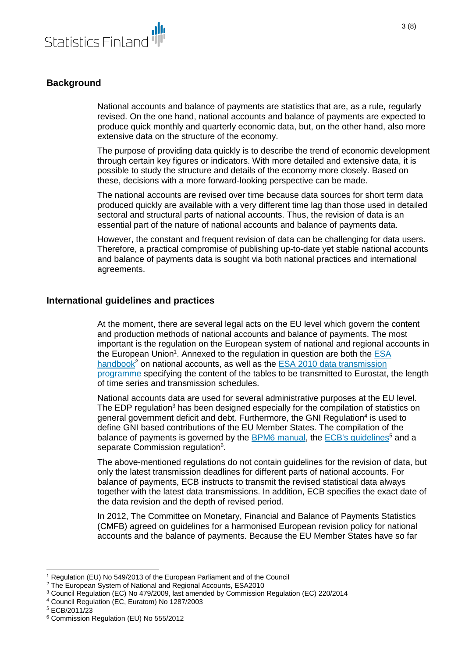

# <span id="page-2-0"></span>**Background**

National accounts and balance of payments are statistics that are, as a rule, regularly revised. On the one hand, national accounts and balance of payments are expected to produce quick monthly and quarterly economic data, but, on the other hand, also more extensive data on the structure of the economy.

The purpose of providing data quickly is to describe the trend of economic development through certain key figures or indicators. With more detailed and extensive data, it is possible to study the structure and details of the economy more closely. Based on these, decisions with a more forward-looking perspective can be made.

The national accounts are revised over time because data sources for short term data produced quickly are available with a very different time lag than those used in detailed sectoral and structural parts of national accounts. Thus, the revision of data is an essential part of the nature of national accounts and balance of payments data.

However, the constant and frequent revision of data can be challenging for data users. Therefore, a practical compromise of publishing up-to-date yet stable national accounts and balance of payments data is sought via both national practices and international agreements.

### <span id="page-2-1"></span>**International guidelines and practices**

At the moment, there are several legal acts on the EU level which govern the content and production methods of national accounts and balance of payments. The most important is the regulation on the European system of national and regional accounts in the European Union<sup>1</sup>. Annexed to the regulation in question are both the **ESA** [handbook](https://ec.europa.eu/eurostat/documents/3859598/5925693/KS-02-13-269-EN.PDF/44cd9d01-bc64-40e5-bd40-d17df0c69334)<sup>2</sup> on national accounts, as well as the ESA 2010 data transmission [programme](https://ec.europa.eu/eurostat/documents/3859598/5936561/KS-01-13-429-3A-C-EN.PDF/69e7e68c-661d-44dc-bef3-d0e560403722) specifying the content of the tables to be transmitted to Eurostat, the length of time series and transmission schedules.

National accounts data are used for several administrative purposes at the EU level. The EDP regulation<sup>3</sup> has been designed especially for the compilation of statistics on general government deficit and debt. Furthermore, the GNI Regulation<sup>4</sup> is used to define GNI based contributions of the EU Member States. The compilation of the balance of payments is governed by the [BPM6 manual,](https://www.imf.org/external/pubs/ft/bop/2007/pdf/bpm6.pdf) the [ECB's guidelines](https://www.ecb.europa.eu/ecb/legal/pdf/l_06520120303en00010044.pdf?943a9de2997c9234e97c50692a9c91c6)<sup>5</sup> and a separate Commission regulation<sup>6</sup>.

The above-mentioned regulations do not contain guidelines for the revision of data, but only the latest transmission deadlines for different parts of national accounts. For balance of payments, ECB instructs to transmit the revised statistical data always together with the latest data transmissions. In addition, ECB specifies the exact date of the data revision and the depth of revised period.

In 2012, The Committee on Monetary, Financial and Balance of Payments Statistics (CMFB) agreed on guidelines for a harmonised European revision policy for national accounts and the balance of payments. Because the EU Member States have so far

l

<sup>1</sup> Regulation (EU) No 549/2013 of the European Parliament and of the Council

<sup>&</sup>lt;sup>2</sup> The European System of National and Regional Accounts, ESA2010

<sup>3</sup> Council Regulation (EC) No 479/2009, last amended by Commission Regulation (EC) 220/2014

<sup>4</sup> Council Regulation (EC, Euratom) No 1287/2003

<sup>5</sup> ECB/2011/23

<sup>6</sup> Commission Regulation (EU) No 555/2012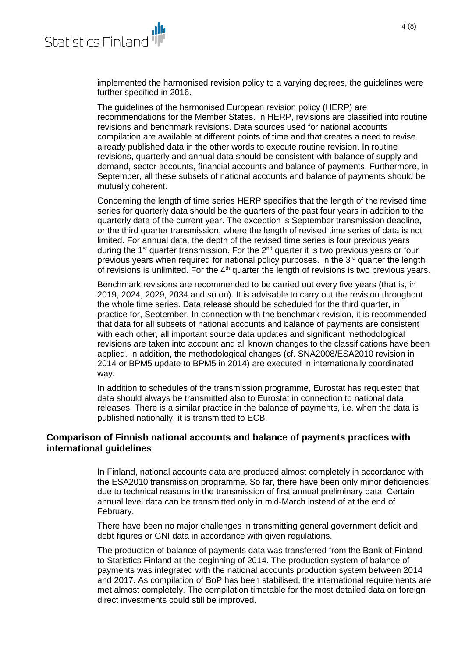

implemented the harmonised revision policy to a varying degrees, the guidelines were further specified in 2016.

The guidelines of the harmonised European revision policy (HERP) are recommendations for the Member States. In HERP, revisions are classified into routine revisions and benchmark revisions. Data sources used for national accounts compilation are available at different points of time and that creates a need to revise already published data in the other words to execute routine revision. In routine revisions, quarterly and annual data should be consistent with balance of supply and demand, sector accounts, financial accounts and balance of payments. Furthermore, in September, all these subsets of national accounts and balance of payments should be mutually coherent.

Concerning the length of time series HERP specifies that the length of the revised time series for quarterly data should be the quarters of the past four years in addition to the quarterly data of the current year. The exception is September transmission deadline, or the third quarter transmission, where the length of revised time series of data is not limited. For annual data, the depth of the revised time series is four previous years during the 1<sup>st</sup> quarter transmission. For the 2<sup>nd</sup> quarter it is two previous years or four previous years when required for national policy purposes. In the  $3<sup>rd</sup>$  quarter the length of revisions is unlimited. For the  $4<sup>th</sup>$  quarter the length of revisions is two previous years.

Benchmark revisions are recommended to be carried out every five years (that is, in 2019, 2024, 2029, 2034 and so on). It is advisable to carry out the revision throughout the whole time series. Data release should be scheduled for the third quarter, in practice for, September. In connection with the benchmark revision, it is recommended that data for all subsets of national accounts and balance of payments are consistent with each other, all important source data updates and significant methodological revisions are taken into account and all known changes to the classifications have been applied. In addition, the methodological changes (cf. SNA2008/ESA2010 revision in 2014 or BPM5 update to BPM5 in 2014) are executed in internationally coordinated way.

In addition to schedules of the transmission programme, Eurostat has requested that data should always be transmitted also to Eurostat in connection to national data releases. There is a similar practice in the balance of payments, i.e. when the data is published nationally, it is transmitted to ECB.

#### <span id="page-3-0"></span>**Comparison of Finnish national accounts and balance of payments practices with international guidelines**

In Finland, national accounts data are produced almost completely in accordance with the ESA2010 transmission programme. So far, there have been only minor deficiencies due to technical reasons in the transmission of first annual preliminary data. Certain annual level data can be transmitted only in mid-March instead of at the end of February.

There have been no major challenges in transmitting general government deficit and debt figures or GNI data in accordance with given regulations.

The production of balance of payments data was transferred from the Bank of Finland to Statistics Finland at the beginning of 2014. The production system of balance of payments was integrated with the national accounts production system between 2014 and 2017. As compilation of BoP has been stabilised, the international requirements are met almost completely. The compilation timetable for the most detailed data on foreign direct investments could still be improved.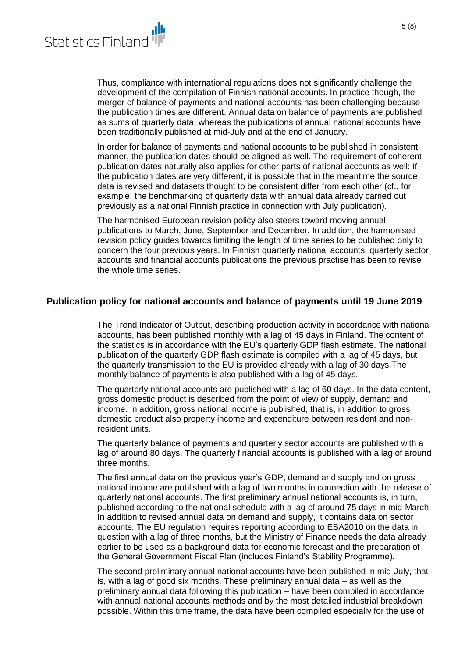

Thus, compliance with international regulations does not significantly challenge the development of the compilation of Finnish national accounts. In practice though, the merger of balance of payments and national accounts has been challenging because the publication times are different. Annual data on balance of payments are published as sums of quarterly data, whereas the publications of annual national accounts have been traditionally published at mid-July and at the end of January.

In order for balance of payments and national accounts to be published in consistent manner, the publication dates should be aligned as well. The requirement of coherent publication dates naturally also applies for other parts of national accounts as well: If the publication dates are very different, it is possible that in the meantime the source data is revised and datasets thought to be consistent differ from each other (cf., for example, the benchmarking of quarterly data with annual data already carried out previously as a national Finnish practice in connection with July publication).

The harmonised European revision policy also steers toward moving annual publications to March, June, September and December. In addition, the harmonised revision policy guides towards limiting the length of time series to be published only to concern the four previous years. In Finnish quarterly national accounts, quarterly sector accounts and financial accounts publications the previous practise has been to revise the whole time series.

#### <span id="page-4-0"></span>**Publication policy for national accounts and balance of payments until 19 June 2019**

The Trend Indicator of Output, describing production activity in accordance with national accounts, has been published monthly with a lag of 45 days in Finland. The content of the statistics is in accordance with the EU's quarterly GDP flash estimate. The national publication of the quarterly GDP flash estimate is compiled with a lag of 45 days, but the quarterly transmission to the EU is provided already with a lag of 30 days.The monthly balance of payments is also published with a lag of 45 days.

The quarterly national accounts are published with a lag of 60 days. In the data content, gross domestic product is described from the point of view of supply, demand and income. In addition, gross national income is published, that is, in addition to gross domestic product also property income and expenditure between resident and nonresident units.

The quarterly balance of payments and quarterly sector accounts are published with a lag of around 80 days. The quarterly financial accounts is published with a lag of around three months.

The first annual data on the previous year's GDP, demand and supply and on gross national income are published with a lag of two months in connection with the release of quarterly national accounts. The first preliminary annual national accounts is, in turn, published according to the national schedule with a lag of around 75 days in mid-March. In addition to revised annual data on demand and supply, it contains data on sector accounts. The EU regulation requires reporting according to ESA2010 on the data in question with a lag of three months, but the Ministry of Finance needs the data already earlier to be used as a background data for economic forecast and the preparation of the General Government Fiscal Plan (includes Finland's Stability Programme).

The second preliminary annual national accounts have been published in mid-July, that is, with a lag of good six months. These preliminary annual data – as well as the preliminary annual data following this publication – have been compiled in accordance with annual national accounts methods and by the most detailed industrial breakdown possible. Within this time frame, the data have been compiled especially for the use of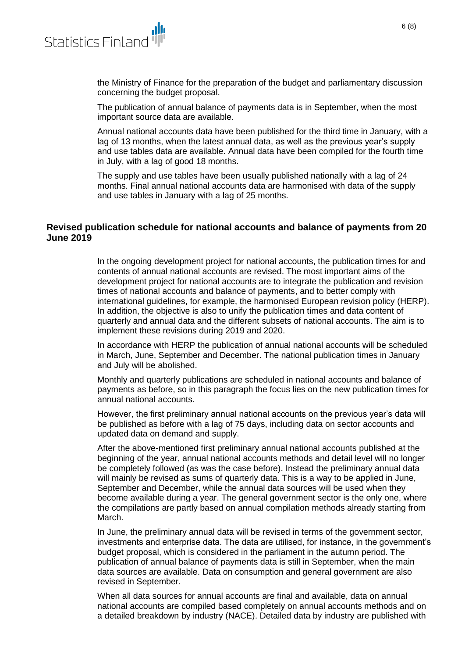

the Ministry of Finance for the preparation of the budget and parliamentary discussion concerning the budget proposal.

The publication of annual balance of payments data is in September, when the most important source data are available.

Annual national accounts data have been published for the third time in January, with a lag of 13 months, when the latest annual data, as well as the previous year's supply and use tables data are available. Annual data have been compiled for the fourth time in July, with a lag of good 18 months.

The supply and use tables have been usually published nationally with a lag of 24 months. Final annual national accounts data are harmonised with data of the supply and use tables in January with a lag of 25 months.

## <span id="page-5-0"></span>**Revised publication schedule for national accounts and balance of payments from 20 June 2019**

In the ongoing development project for national accounts, the publication times for and contents of annual national accounts are revised. The most important aims of the development project for national accounts are to integrate the publication and revision times of national accounts and balance of payments, and to better comply with international guidelines, for example, the harmonised European revision policy (HERP). In addition, the objective is also to unify the publication times and data content of quarterly and annual data and the different subsets of national accounts. The aim is to implement these revisions during 2019 and 2020.

In accordance with HERP the publication of annual national accounts will be scheduled in March, June, September and December. The national publication times in January and July will be abolished.

Monthly and quarterly publications are scheduled in national accounts and balance of payments as before, so in this paragraph the focus lies on the new publication times for annual national accounts.

However, the first preliminary annual national accounts on the previous year's data will be published as before with a lag of 75 days, including data on sector accounts and updated data on demand and supply.

After the above-mentioned first preliminary annual national accounts published at the beginning of the year, annual national accounts methods and detail level will no longer be completely followed (as was the case before). Instead the preliminary annual data will mainly be revised as sums of quarterly data. This is a way to be applied in June, September and December, while the annual data sources will be used when they become available during a year. The general government sector is the only one, where the compilations are partly based on annual compilation methods already starting from March.

In June, the preliminary annual data will be revised in terms of the government sector, investments and enterprise data. The data are utilised, for instance, in the government's budget proposal, which is considered in the parliament in the autumn period. The publication of annual balance of payments data is still in September, when the main data sources are available. Data on consumption and general government are also revised in September.

When all data sources for annual accounts are final and available, data on annual national accounts are compiled based completely on annual accounts methods and on a detailed breakdown by industry (NACE). Detailed data by industry are published with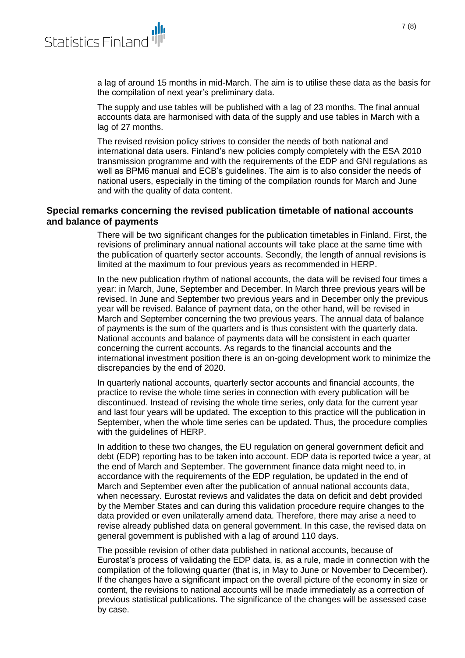

a lag of around 15 months in mid-March. The aim is to utilise these data as the basis for the compilation of next year's preliminary data.

The supply and use tables will be published with a lag of 23 months. The final annual accounts data are harmonised with data of the supply and use tables in March with a lag of 27 months.

The revised revision policy strives to consider the needs of both national and international data users. Finland's new policies comply completely with the ESA 2010 transmission programme and with the requirements of the EDP and GNI regulations as well as BPM6 manual and ECB's guidelines. The aim is to also consider the needs of national users, especially in the timing of the compilation rounds for March and June and with the quality of data content.

## <span id="page-6-0"></span>**Special remarks concerning the revised publication timetable of national accounts and balance of payments**

There will be two significant changes for the publication timetables in Finland. First, the revisions of preliminary annual national accounts will take place at the same time with the publication of quarterly sector accounts. Secondly, the length of annual revisions is limited at the maximum to four previous years as recommended in HERP.

In the new publication rhythm of national accounts, the data will be revised four times a year: in March, June, September and December. In March three previous years will be revised. In June and September two previous years and in December only the previous year will be revised. Balance of payment data, on the other hand, will be revised in March and September concerning the two previous years. The annual data of balance of payments is the sum of the quarters and is thus consistent with the quarterly data. National accounts and balance of payments data will be consistent in each quarter concerning the current accounts. As regards to the financial accounts and the international investment position there is an on-going development work to minimize the discrepancies by the end of 2020.

In quarterly national accounts, quarterly sector accounts and financial accounts, the practice to revise the whole time series in connection with every publication will be discontinued. Instead of revising the whole time series, only data for the current year and last four years will be updated. The exception to this practice will the publication in September, when the whole time series can be updated. Thus, the procedure complies with the quidelines of HERP.

In addition to these two changes, the EU regulation on general government deficit and debt (EDP) reporting has to be taken into account. EDP data is reported twice a year, at the end of March and September. The government finance data might need to, in accordance with the requirements of the EDP regulation, be updated in the end of March and September even after the publication of annual national accounts data, when necessary. Eurostat reviews and validates the data on deficit and debt provided by the Member States and can during this validation procedure require changes to the data provided or even unilaterally amend data. Therefore, there may arise a need to revise already published data on general government. In this case, the revised data on general government is published with a lag of around 110 days.

The possible revision of other data published in national accounts, because of Eurostat's process of validating the EDP data, is, as a rule, made in connection with the compilation of the following quarter (that is, in May to June or November to December). If the changes have a significant impact on the overall picture of the economy in size or content, the revisions to national accounts will be made immediately as a correction of previous statistical publications. The significance of the changes will be assessed case by case.